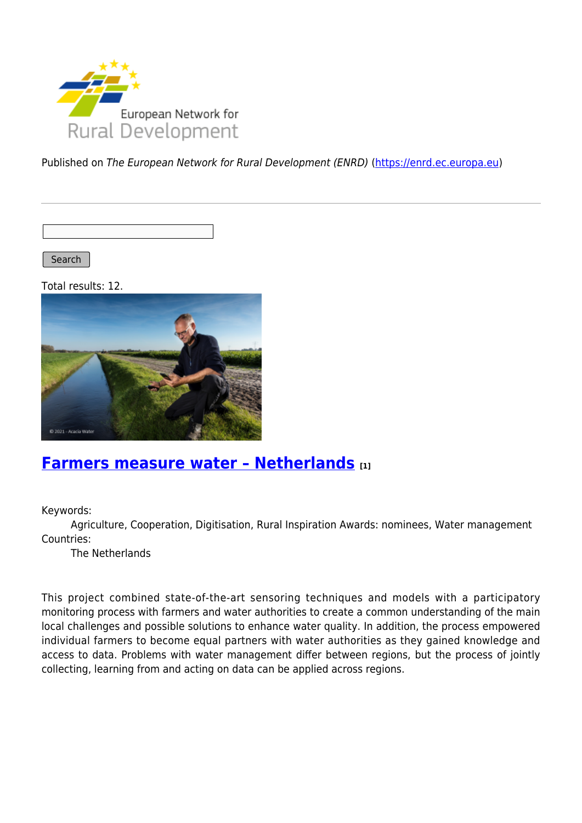

Published on The European Network for Rural Development (ENRD) [\(https://enrd.ec.europa.eu](https://enrd.ec.europa.eu))

Search

Total results: 12.



#### **[Farmers measure water – Netherlands](https://enrd.ec.europa.eu/projects-practice/farmers-measure-water-netherlands_en) [1]**

Keywords:

Agriculture, Cooperation, Digitisation, Rural Inspiration Awards: nominees, Water management Countries:

The Netherlands

This project combined state-of-the-art sensoring techniques and models with a participatory monitoring process with farmers and water authorities to create a common understanding of the main local challenges and possible solutions to enhance water quality. In addition, the process empowered individual farmers to become equal partners with water authorities as they gained knowledge and access to data. Problems with water management differ between regions, but the process of jointly collecting, learning from and acting on data can be applied across regions.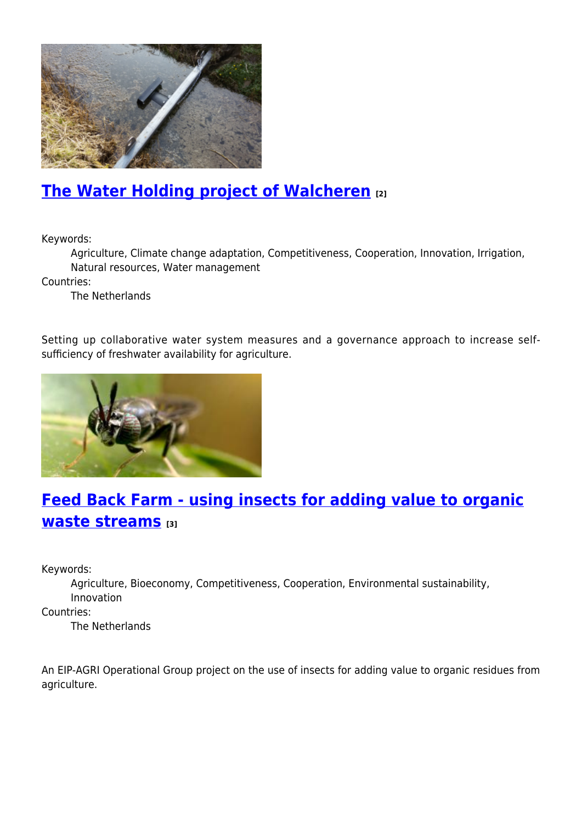

## **[The Water Holding project of Walcheren](https://enrd.ec.europa.eu/projects-practice/water-holding-project-walcheren_en) [2]**

Keywords:

Agriculture, Climate change adaptation, Competitiveness, Cooperation, Innovation, Irrigation, Natural resources, Water management

Countries:

The Netherlands

Setting up collaborative water system measures and a governance approach to increase selfsufficiency of freshwater availability for agriculture.



# **[Feed Back Farm - using insects for adding value to organic](https://enrd.ec.europa.eu/projects-practice/feed-back-farm-using-insects-adding-value-organic-waste-streams_en) [waste streams](https://enrd.ec.europa.eu/projects-practice/feed-back-farm-using-insects-adding-value-organic-waste-streams_en) [3]**

Keywords:

Agriculture, Bioeconomy, Competitiveness, Cooperation, Environmental sustainability, Innovation

Countries:

The Netherlands

An EIP-AGRI Operational Group project on the use of insects for adding value to organic residues from agriculture.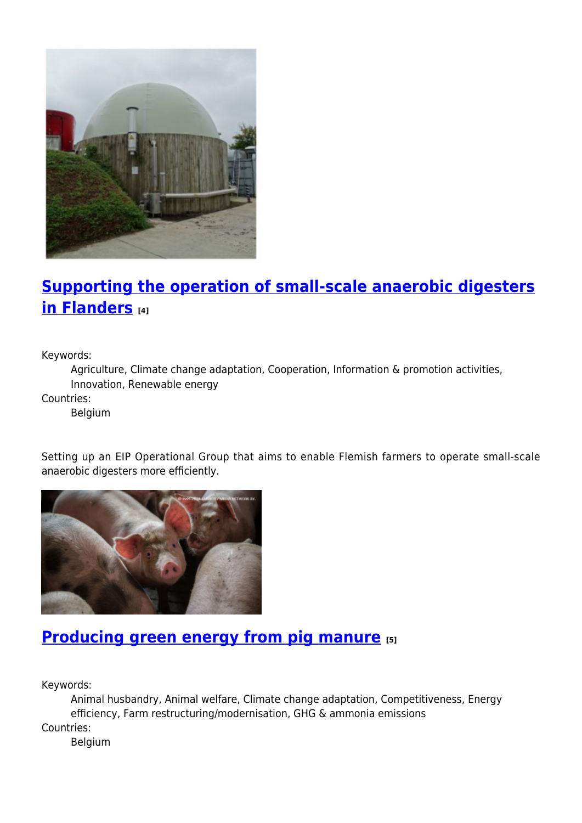

## **[Supporting the operation of small-scale anaerobic digesters](https://enrd.ec.europa.eu/projects-practice/supporting-operation-small-scale-anaerobic-digesters-flanders_en) [in Flanders](https://enrd.ec.europa.eu/projects-practice/supporting-operation-small-scale-anaerobic-digesters-flanders_en) [4]**

Keywords:

Agriculture, Climate change adaptation, Cooperation, Information & promotion activities, Innovation, Renewable energy

Countries:

Belgium

Setting up an EIP Operational Group that aims to enable Flemish farmers to operate small-scale anaerobic digesters more efficiently.



## **[Producing green energy from pig manure](https://enrd.ec.europa.eu/projects-practice/producing-green-energy-pig-manure_en) [5]**

Keywords:

Animal husbandry, Animal welfare, Climate change adaptation, Competitiveness, Energy efficiency, Farm restructuring/modernisation, GHG & ammonia emissions Countries:

Belgium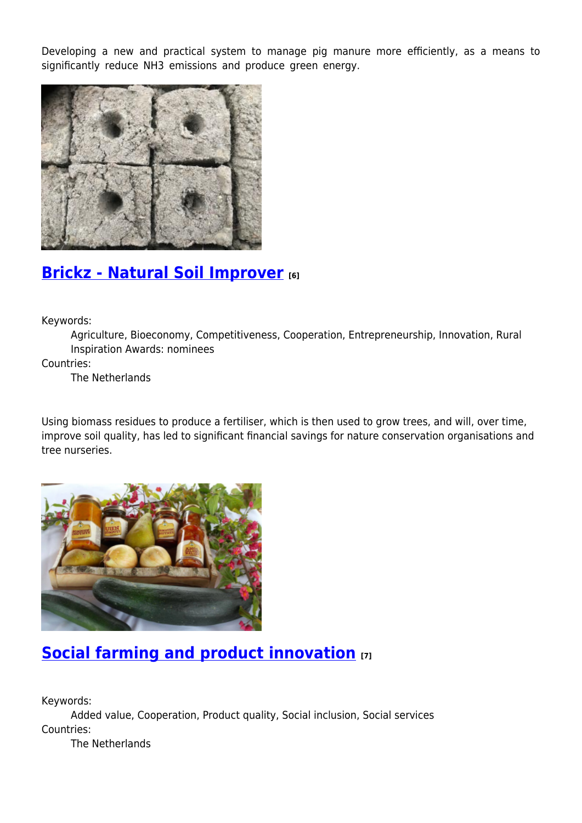Developing a new and practical system to manage pig manure more efficiently, as a means to significantly reduce NH3 emissions and produce green energy.



#### **[Brickz - Natural Soil Improver](https://enrd.ec.europa.eu/projects-practice/brickz-natural-soil-improver_en) [6]**

Keywords:

Agriculture, Bioeconomy, Competitiveness, Cooperation, Entrepreneurship, Innovation, Rural Inspiration Awards: nominees

Countries:

The Netherlands

Using biomass residues to produce a fertiliser, which is then used to grow trees, and will, over time, improve soil quality, has led to significant financial savings for nature conservation organisations and tree nurseries.



# **[Social farming and product innovation](https://enrd.ec.europa.eu/projects-practice/social-farming-and-product-innovation_en) [7]**

Keywords:

Added value, Cooperation, Product quality, Social inclusion, Social services Countries:

The Netherlands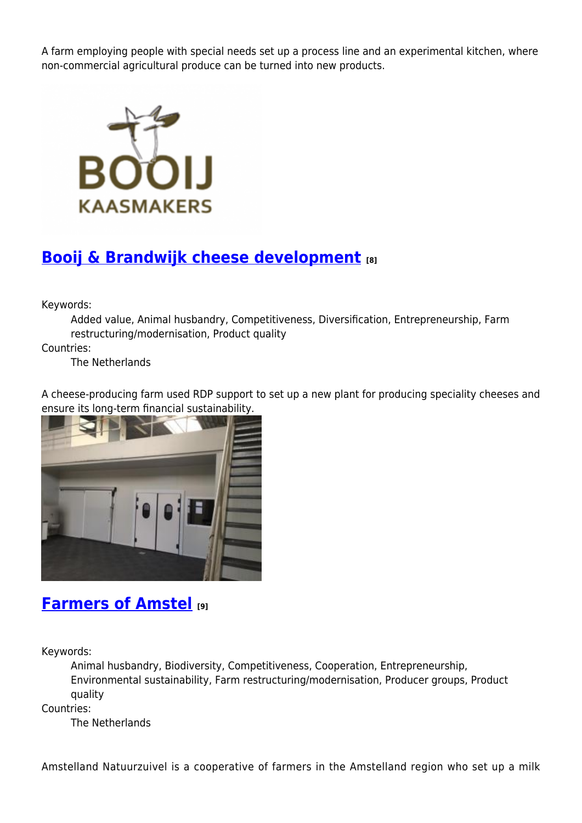A farm employing people with special needs set up a process line and an experimental kitchen, where non-commercial agricultural produce can be turned into new products.



## **[Booij & Brandwijk cheese development](https://enrd.ec.europa.eu/projects-practice/booij-brandwijk-cheese-development_en) [8]**

Keywords:

Added value, Animal husbandry, Competitiveness, Diversification, Entrepreneurship, Farm restructuring/modernisation, Product quality

Countries:

The Netherlands

A cheese-producing farm used RDP support to set up a new plant for producing speciality cheeses and ensure its long-term financial sustainability.



#### **[Farmers of Amstel](https://enrd.ec.europa.eu/projects-practice/farmers-amstel_en) [9]**

Keywords:

Animal husbandry, Biodiversity, Competitiveness, Cooperation, Entrepreneurship, Environmental sustainability, Farm restructuring/modernisation, Producer groups, Product quality

Countries:

The Netherlands

Amstelland Natuurzuivel is a cooperative of farmers in the Amstelland region who set up a milk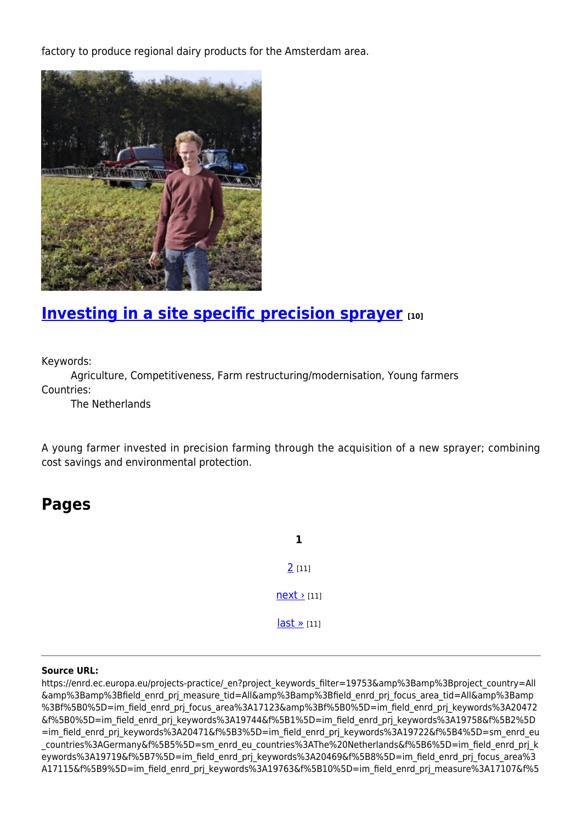factory to produce regional dairy products for the Amsterdam area.



#### **[Investing in a site specific precision sprayer](https://enrd.ec.europa.eu/projects-practice/investing-site-specific-precision-sprayer_en)** [10]

Keywords:

Agriculture, Competitiveness, Farm restructuring/modernisation, Young farmers Countries:

The Netherlands

A young farmer invested in precision farming through the acquisition of a new sprayer; combining cost savings and environmental protection.

#### **Pages**

**1** [2](https://enrd.ec.europa.eu/projects-practice/_en?page=1&project_keywords_filter=19753&%3Bamp%3Bproject_country=All&%3Bamp%3Bfield_enrd_prj_measure_tid=All&%3Bamp%3Bfield_enrd_prj_focus_area_tid=All&%3Bamp%3Bf%5B0%5D=im_field_enrd_prj_focus_area%3A17123&%3Bf%5B0%5D=im_field_enrd_prj_keywords%3A20472&f%5B0%5D=im_field_enrd_prj_keywords%3A19744&f%5B1%5D=im_field_enrd_prj_keywords%3A19758&f%5B2%5D=im_field_enrd_prj_keywords%3A20471&f%5B3%5D=im_field_enrd_prj_keywords%3A19722&f%5B4%5D=sm_enrd_eu_countries%3AGermany&f%5B5%5D=sm_enrd_eu_countries%3AThe%20Netherlands&f%5B6%5D=im_field_enrd_prj_keywords%3A19719&f%5B7%5D=im_field_enrd_prj_keywords%3A20469&f%5B8%5D=im_field_enrd_prj_focus_area%3A17115&f%5B9%5D=im_field_enrd_prj_keywords%3A19763&f%5B10%5D=im_field_enrd_prj_measure%3A17107&f%5B11%5D=im_field_enrd_prj_keywords%3A19761&f%5B12%5D=im_field_enrd_prj_keywords%3A19756&f%5B13%5D=im_field_enrd_prj_keywords%3A19718&f%5B14%5D=im_field_enrd_prj_keywords%3A20474&f%5B15%5D=im_field_enrd_prj_keywords%3A20510&f%5B16%5D=im_field_enrd_prj_keywords%3A19739&f%5B17%5D=im_field_enrd_prj_keywords%3A20629&f%5B18%5D=sm_enrd_eu_countries%3ABelgium&f%5B19%5D=im_field_enrd_prj_keywords%3A20464&f%5B20%5D=im_field_enrd_prj_measure%3A17095) [11]  $next$  [11]  $last \times [11]$ 

#### **Source URL:**

https://enrd.ec.europa.eu/projects-practice/\_en?project\_keywords\_filter=19753&amp%3Bamp%3Bproject\_country=All &amp%3Bamp%3Bfield\_enrd\_prj\_measure\_tid=All&amp%3Bamp%3Bfield\_enrd\_prj\_focus\_area\_tid=All&amp%3Bamp %3Bf%5B0%5D=im\_field\_enrd\_prj\_focus\_area%3A17123&amp%3Bf%5B0%5D=im\_field\_enrd\_prj\_keywords%3A20472 &f%5B0%5D=im\_field\_enrd\_prj\_keywords%3A19744&f%5B1%5D=im\_field\_enrd\_prj\_keywords%3A19758&f%5B2%5D =im\_field\_enrd\_prj\_keywords%3A20471&f%5B3%5D=im\_field\_enrd\_prj\_keywords%3A19722&f%5B4%5D=sm\_enrd\_eu countries%3AGermany&f%5B5%5D=sm\_enrd\_eu\_countries%3AThe%20Netherlands&f%5B6%5D=im\_field\_enrd\_prj\_k eywords%3A19719&f%5B7%5D=im\_field\_enrd\_prj\_keywords%3A20469&f%5B8%5D=im\_field\_enrd\_prj\_focus\_area%3 A17115&f%5B9%5D=im\_field\_enrd\_prj\_keywords%3A19763&f%5B10%5D=im\_field\_enrd\_prj\_measure%3A17107&f%5